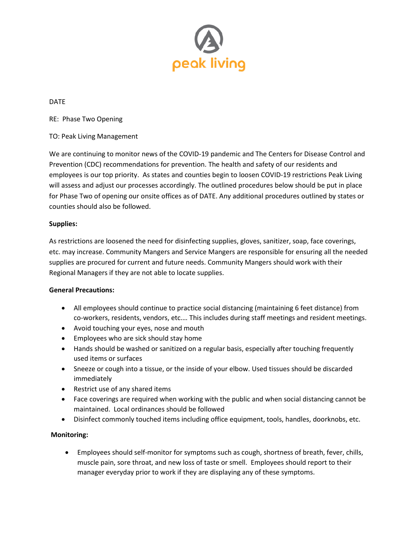

DATE

RE: Phase Two Opening

## TO: Peak Living Management

We are continuing to monitor news of the COVID-19 pandemic and The Centers for Disease Control and Prevention (CDC) recommendations for prevention. The health and safety of our residents and employees is our top priority. As states and counties begin to loosen COVID-19 restrictions Peak Living will assess and adjust our processes accordingly. The outlined procedures below should be put in place for Phase Two of opening our onsite offices as of DATE. Any additional procedures outlined by states or counties should also be followed.

#### **Supplies:**

As restrictions are loosened the need for disinfecting supplies, gloves, sanitizer, soap, face coverings, etc. may increase. Community Mangers and Service Mangers are responsible for ensuring all the needed supplies are procured for current and future needs. Community Mangers should work with their Regional Managers if they are not able to locate supplies.

#### **General Precautions:**

- All employees should continue to practice social distancing (maintaining 6 feet distance) from co-workers, residents, vendors, etc.… This includes during staff meetings and resident meetings.
- Avoid touching your eyes, nose and mouth
- Employees who are sick should stay home
- Hands should be washed or sanitized on a regular basis, especially after touching frequently used items or surfaces
- Sneeze or cough into a tissue, or the inside of your elbow. Used tissues should be discarded immediately
- Restrict use of any shared items
- Face coverings are required when working with the public and when social distancing cannot be maintained. Local ordinances should be followed
- Disinfect commonly touched items including office equipment, tools, handles, doorknobs, etc.

## **Monitoring:**

• Employees should self-monitor for symptoms such as cough, shortness of breath, fever, chills, muscle pain, sore throat, and new loss of taste or smell. Employees should report to their manager everyday prior to work if they are displaying any of these symptoms.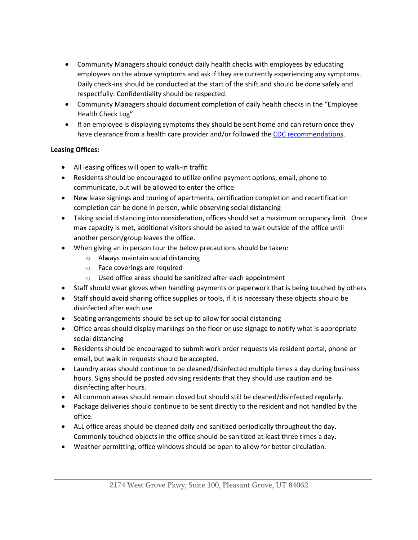- Community Managers should conduct daily health checks with employees by educating employees on the above symptoms and ask if they are currently experiencing any symptoms. Daily check-ins should be conducted at the start of the shift and should be done safely and respectfully. Confidentiality should be respected.
- Community Managers should document completion of daily health checks in the "Employee Health Check Log"
- If an employee is displaying symptoms they should be sent home and can return once they have clearance from a health care provider and/or followed the [CDC recommendations.](https://www.cdc.gov/coronavirus/2019-ncov/if-you-are-sick/steps-when-sick.html)

# **Leasing Offices:**

- All leasing offices will open to walk-in traffic
- Residents should be encouraged to utilize online payment options, email, phone to communicate, but will be allowed to enter the office.
- New lease signings and touring of apartments, certification completion and recertification completion can be done in person, while observing social distancing
- Taking social distancing into consideration, offices should set a maximum occupancy limit. Once max capacity is met, additional visitors should be asked to wait outside of the office until another person/group leaves the office.
- When giving an in person tour the below precautions should be taken:
	- o Always maintain social distancing
	- o Face coverings are required
	- o Used office areas should be sanitized after each appointment
- Staff should wear gloves when handling payments or paperwork that is being touched by others
- Staff should avoid sharing office supplies or tools, if it is necessary these objects should be disinfected after each use
- Seating arrangements should be set up to allow for social distancing
- Office areas should display markings on the floor or use signage to notify what is appropriate social distancing
- Residents should be encouraged to submit work order requests via resident portal, phone or email, but walk in requests should be accepted.
- Laundry areas should continue to be cleaned/disinfected multiple times a day during business hours. Signs should be posted advising residents that they should use caution and be disinfecting after hours.
- All common areas should remain closed but should still be cleaned/disinfected regularly.
- Package deliveries should continue to be sent directly to the resident and not handled by the office.
- ALL office areas should be cleaned daily and sanitized periodically throughout the day. Commonly touched objects in the office should be sanitized at least three times a day.
- Weather permitting, office windows should be open to allow for better circulation.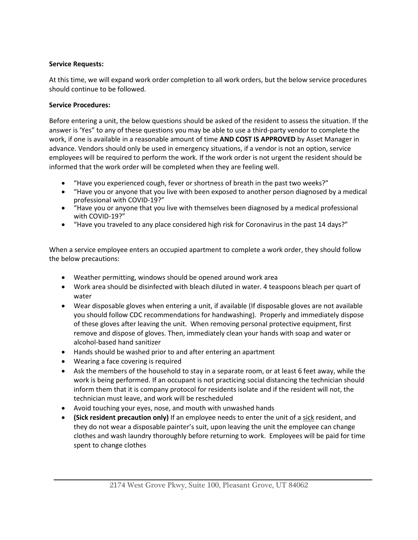# **Service Requests:**

At this time, we will expand work order completion to all work orders, but the below service procedures should continue to be followed.

# **Service Procedures:**

Before entering a unit, the below questions should be asked of the resident to assess the situation. If the answer is 'Yes" to any of these questions you may be able to use a third-party vendor to complete the work, if one is available in a reasonable amount of time **AND COST IS APPROVED** by Asset Manager in advance. Vendors should only be used in emergency situations, if a vendor is not an option, service employees will be required to perform the work. If the work order is not urgent the resident should be informed that the work order will be completed when they are feeling well.

- "Have you experienced cough, fever or shortness of breath in the past two weeks?"
- "Have you or anyone that you live with been exposed to another person diagnosed by a medical professional with COVID-19?"
- "Have you or anyone that you live with themselves been diagnosed by a medical professional with COVID-19?"
- "Have you traveled to any place considered high risk for Coronavirus in the past 14 days?"

When a service employee enters an occupied apartment to complete a work order, they should follow the below precautions:

- Weather permitting, windows should be opened around work area
- Work area should be disinfected with bleach diluted in water. 4 teaspoons bleach per quart of water
- Wear disposable gloves when entering a unit, if available (If disposable gloves are not available you should follow CDC recommendations for handwashing). Properly and immediately dispose of these gloves after leaving the unit. When removing personal protective equipment, first remove and dispose of gloves. Then, immediately clean your hands with soap and water or alcohol-based hand sanitizer
- Hands should be washed prior to and after entering an apartment
- Wearing a face covering is required
- Ask the members of the household to stay in a separate room, or at least 6 feet away, while the work is being performed. If an occupant is not practicing social distancing the technician should inform them that it is company protocol for residents isolate and if the resident will not, the technician must leave, and work will be rescheduled
- Avoid touching your eyes, nose, and mouth with unwashed hands
- **(Sick resident precaution only)** If an employee needs to enter the unit of a sick resident, and they do not wear a disposable painter's suit, upon leaving the unit the employee can change clothes and wash laundry thoroughly before returning to work. Employees will be paid for time spent to change clothes